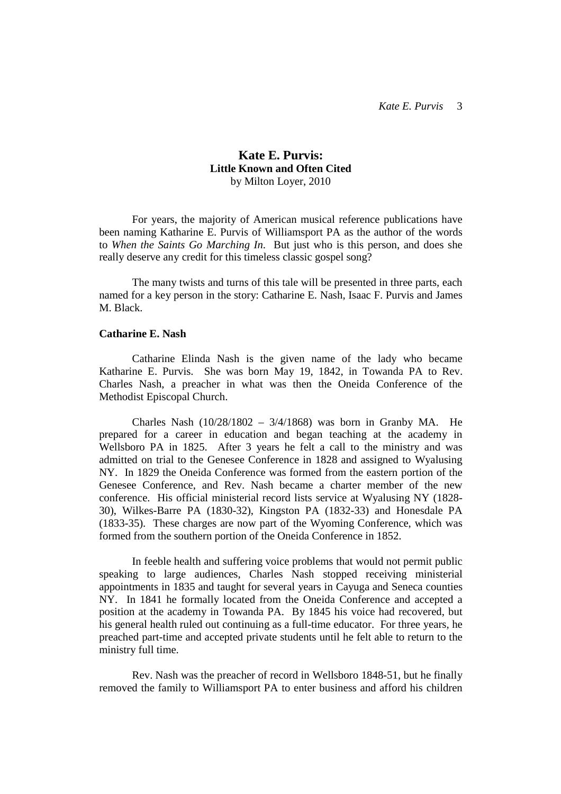# **Kate E. Purvis: Little Known and Often Cited**  by Milton Loyer, 2010

 For years, the majority of American musical reference publications have been naming Katharine E. Purvis of Williamsport PA as the author of the words to *When the Saints Go Marching In*. But just who is this person, and does she really deserve any credit for this timeless classic gospel song?

 The many twists and turns of this tale will be presented in three parts, each named for a key person in the story: Catharine E. Nash, Isaac F. Purvis and James M. Black.

### **Catharine E. Nash**

 Catharine Elinda Nash is the given name of the lady who became Katharine E. Purvis. She was born May 19, 1842, in Towanda PA to Rev. Charles Nash, a preacher in what was then the Oneida Conference of the Methodist Episcopal Church.

 Charles Nash (10/28/1802 – 3/4/1868) was born in Granby MA. He prepared for a career in education and began teaching at the academy in Wellsboro PA in 1825. After 3 years he felt a call to the ministry and was admitted on trial to the Genesee Conference in 1828 and assigned to Wyalusing NY. In 1829 the Oneida Conference was formed from the eastern portion of the Genesee Conference, and Rev. Nash became a charter member of the new conference. His official ministerial record lists service at Wyalusing NY (1828- 30), Wilkes-Barre PA (1830-32), Kingston PA (1832-33) and Honesdale PA (1833-35). These charges are now part of the Wyoming Conference, which was formed from the southern portion of the Oneida Conference in 1852.

 In feeble health and suffering voice problems that would not permit public speaking to large audiences, Charles Nash stopped receiving ministerial appointments in 1835 and taught for several years in Cayuga and Seneca counties NY. In 1841 he formally located from the Oneida Conference and accepted a position at the academy in Towanda PA. By 1845 his voice had recovered, but his general health ruled out continuing as a full-time educator. For three years, he preached part-time and accepted private students until he felt able to return to the ministry full time.

 Rev. Nash was the preacher of record in Wellsboro 1848-51, but he finally removed the family to Williamsport PA to enter business and afford his children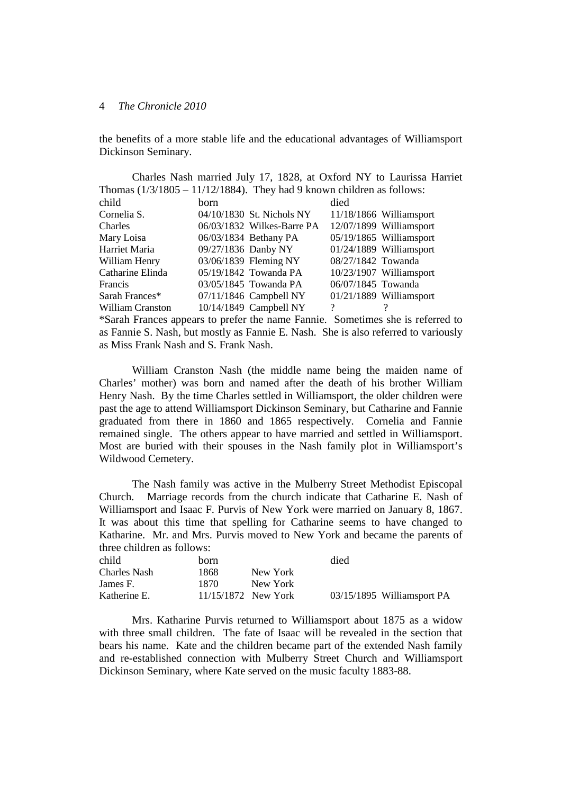the benefits of a more stable life and the educational advantages of Williamsport Dickinson Seminary.

| Charles Nash married July 17, 1828, at Oxford NY to Laurissa Harriet     |                     |                              |                    |                           |  |  |  |
|--------------------------------------------------------------------------|---------------------|------------------------------|--------------------|---------------------------|--|--|--|
| Thomas $(1/3/1805 - 11/12/1884)$ . They had 9 known children as follows: |                     |                              |                    |                           |  |  |  |
| child                                                                    | <b>born</b>         |                              | died               |                           |  |  |  |
| Cornelia S.                                                              |                     | 04/10/1830 St. Nichols NY    |                    | $11/18/1866$ Williamsport |  |  |  |
| Charles                                                                  |                     | $06/03/1832$ Wilkes-Barre PA |                    | 12/07/1899 Williamsport   |  |  |  |
| Mary Loisa                                                               |                     | 06/03/1834 Bethany PA        |                    | 05/19/1865 Williamsport   |  |  |  |
| Harriet Maria                                                            | 09/27/1836 Danby NY |                              |                    | 01/24/1889 Williamsport   |  |  |  |
| William Henry                                                            |                     | 03/06/1839 Fleming NY        | 08/27/1842 Towanda |                           |  |  |  |
| Catharine Elinda                                                         |                     | 05/19/1842 Towanda PA        |                    | 10/23/1907 Williamsport   |  |  |  |
| Francis                                                                  |                     | 03/05/1845 Towanda PA        | 06/07/1845 Towanda |                           |  |  |  |
| Sarah Frances*                                                           |                     | 07/11/1846 Campbell NY       |                    | 01/21/1889 Williamsport   |  |  |  |
| William Cranston                                                         |                     | 10/14/1849 Campbell NY       | ?                  |                           |  |  |  |
| vain carravelle                                                          |                     |                              |                    |                           |  |  |  |

\*Sarah Frances appears to prefer the name Fannie. Sometimes she is referred to as Fannie S. Nash, but mostly as Fannie E. Nash. She is also referred to variously as Miss Frank Nash and S. Frank Nash.

 William Cranston Nash (the middle name being the maiden name of Charles' mother) was born and named after the death of his brother William Henry Nash. By the time Charles settled in Williamsport, the older children were past the age to attend Williamsport Dickinson Seminary, but Catharine and Fannie graduated from there in 1860 and 1865 respectively. Cornelia and Fannie remained single. The others appear to have married and settled in Williamsport. Most are buried with their spouses in the Nash family plot in Williamsport's Wildwood Cemetery.

 The Nash family was active in the Mulberry Street Methodist Episcopal Church. Marriage records from the church indicate that Catharine E. Nash of Williamsport and Isaac F. Purvis of New York were married on January 8, 1867. It was about this time that spelling for Catharine seems to have changed to Katharine. Mr. and Mrs. Purvis moved to New York and became the parents of three children as follows:

| child               | born                |          | died |                            |
|---------------------|---------------------|----------|------|----------------------------|
| <b>Charles Nash</b> | 1868                | New York |      |                            |
| James F.            | 1870.               | New York |      |                            |
| Katherine E.        | 11/15/1872 New York |          |      | 03/15/1895 Williamsport PA |

 Mrs. Katharine Purvis returned to Williamsport about 1875 as a widow with three small children. The fate of Isaac will be revealed in the section that bears his name. Kate and the children became part of the extended Nash family and re-established connection with Mulberry Street Church and Williamsport Dickinson Seminary, where Kate served on the music faculty 1883-88.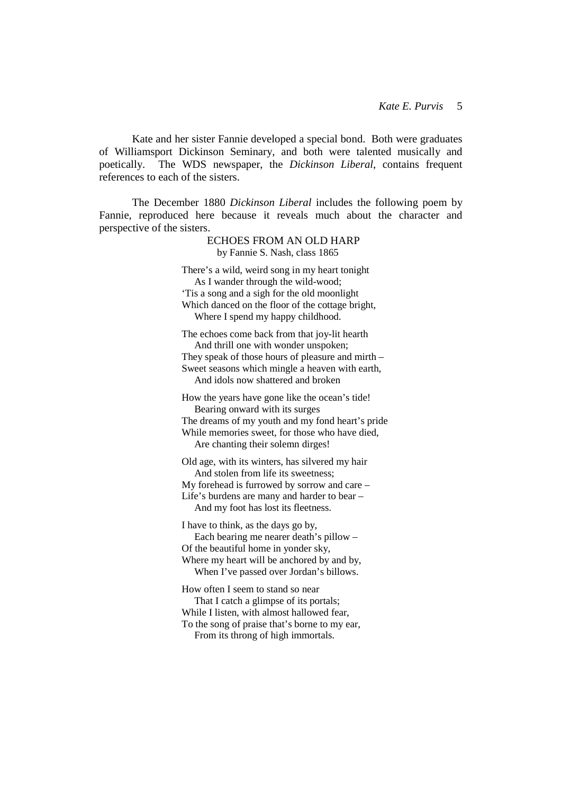Kate and her sister Fannie developed a special bond. Both were graduates of Williamsport Dickinson Seminary, and both were talented musically and poetically. The WDS newspaper, the *Dickinson Liberal*, contains frequent references to each of the sisters.

 The December 1880 *Dickinson Liberal* includes the following poem by Fannie, reproduced here because it reveals much about the character and perspective of the sisters.

> ECHOES FROM AN OLD HARP by Fannie S. Nash, class 1865 There's a wild, weird song in my heart tonight As I wander through the wild-wood; 'Tis a song and a sigh for the old moonlight Which danced on the floor of the cottage bright, Where I spend my happy childhood. The echoes come back from that joy-lit hearth And thrill one with wonder unspoken; They speak of those hours of pleasure and mirth – Sweet seasons which mingle a heaven with earth. And idols now shattered and broken How the years have gone like the ocean's tide! Bearing onward with its surges The dreams of my youth and my fond heart's pride While memories sweet, for those who have died, Are chanting their solemn dirges! Old age, with its winters, has silvered my hair And stolen from life its sweetness; My forehead is furrowed by sorrow and care – Life's burdens are many and harder to bear – And my foot has lost its fleetness. I have to think, as the days go by, Each bearing me nearer death's pillow – Of the beautiful home in yonder sky, Where my heart will be anchored by and by, When I've passed over Jordan's billows. How often I seem to stand so near That I catch a glimpse of its portals; While I listen, with almost hallowed fear, To the song of praise that's borne to my ear,

From its throng of high immortals.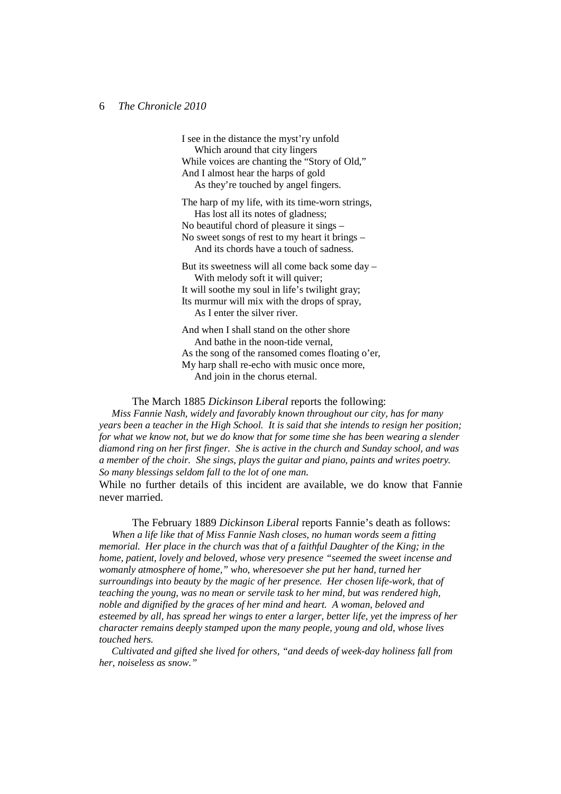I see in the distance the myst'ry unfold Which around that city lingers While voices are chanting the "Story of Old," And I almost hear the harps of gold As they're touched by angel fingers.

The harp of my life, with its time-worn strings, Has lost all its notes of gladness; No beautiful chord of pleasure it sings – No sweet songs of rest to my heart it brings – And its chords have a touch of sadness.

But its sweetness will all come back some day – With melody soft it will quiver; It will soothe my soul in life's twilight gray; Its murmur will mix with the drops of spray, As I enter the silver river.

And when I shall stand on the other shore And bathe in the noon-tide vernal, As the song of the ransomed comes floating o'er, My harp shall re-echo with music once more, And join in the chorus eternal.

 The March 1885 *Dickinson Liberal* reports the following: *Miss Fannie Nash, widely and favorably known throughout our city, has for many years been a teacher in the High School. It is said that she intends to resign her position; for what we know not, but we do know that for some time she has been wearing a slender diamond ring on her first finger. She is active in the church and Sunday school, and was a member of the choir. She sings, plays the guitar and piano, paints and writes poetry. So many blessings seldom fall to the lot of one man.*

While no further details of this incident are available, we do know that Fannie never married.

 The February 1889 *Dickinson Liberal* reports Fannie's death as follows:  *When a life like that of Miss Fannie Nash closes, no human words seem a fitting memorial. Her place in the church was that of a faithful Daughter of the King; in the home, patient, lovely and beloved, whose very presence "seemed the sweet incense and womanly atmosphere of home," who, wheresoever she put her hand, turned her surroundings into beauty by the magic of her presence. Her chosen life-work, that of teaching the young, was no mean or servile task to her mind, but was rendered high, noble and dignified by the graces of her mind and heart. A woman, beloved and esteemed by all, has spread her wings to enter a larger, better life, yet the impress of her character remains deeply stamped upon the many people, young and old, whose lives touched hers.* 

 *Cultivated and gifted she lived for others, "and deeds of week-day holiness fall from her, noiseless as snow."*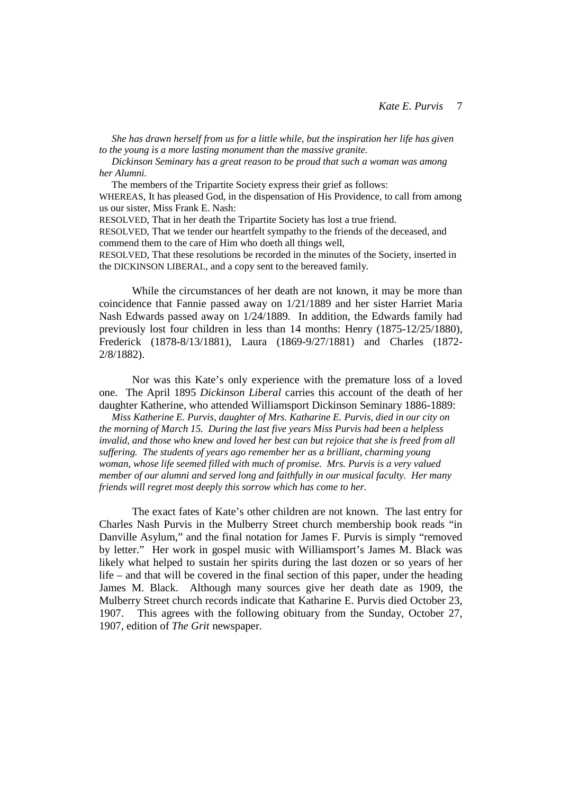*She has drawn herself from us for a little while, but the inspiration her life has given to the young is a more lasting monument than the massive granite.* 

 *Dickinson Seminary has a great reason to be proud that such a woman was among her Alumni.* 

The members of the Tripartite Society express their grief as follows:

WHEREAS, It has pleased God, in the dispensation of His Providence, to call from among us our sister, Miss Frank E. Nash:

RESOLVED, That in her death the Tripartite Society has lost a true friend.

RESOLVED, That we tender our heartfelt sympathy to the friends of the deceased, and commend them to the care of Him who doeth all things well,

RESOLVED, That these resolutions be recorded in the minutes of the Society, inserted in the DICKINSON LIBERAL, and a copy sent to the bereaved family.

 While the circumstances of her death are not known, it may be more than coincidence that Fannie passed away on 1/21/1889 and her sister Harriet Maria Nash Edwards passed away on 1/24/1889. In addition, the Edwards family had previously lost four children in less than 14 months: Henry (1875-12/25/1880), Frederick (1878-8/13/1881), Laura (1869-9/27/1881) and Charles (1872- 2/8/1882).

 Nor was this Kate's only experience with the premature loss of a loved one. The April 1895 *Dickinson Liberal* carries this account of the death of her daughter Katherine, who attended Williamsport Dickinson Seminary 1886-1889:

 *Miss Katherine E. Purvis, daughter of Mrs. Katharine E. Purvis, died in our city on the morning of March 15. During the last five years Miss Purvis had been a helpless invalid, and those who knew and loved her best can but rejoice that she is freed from all suffering. The students of years ago remember her as a brilliant, charming young woman, whose life seemed filled with much of promise. Mrs. Purvis is a very valued member of our alumni and served long and faithfully in our musical faculty. Her many friends will regret most deeply this sorrow which has come to her.* 

 The exact fates of Kate's other children are not known. The last entry for Charles Nash Purvis in the Mulberry Street church membership book reads "in Danville Asylum," and the final notation for James F. Purvis is simply "removed by letter." Her work in gospel music with Williamsport's James M. Black was likely what helped to sustain her spirits during the last dozen or so years of her life – and that will be covered in the final section of this paper, under the heading James M. Black. Although many sources give her death date as 1909, the Mulberry Street church records indicate that Katharine E. Purvis died October 23, 1907. This agrees with the following obituary from the Sunday, October 27, 1907, edition of *The Grit* newspaper.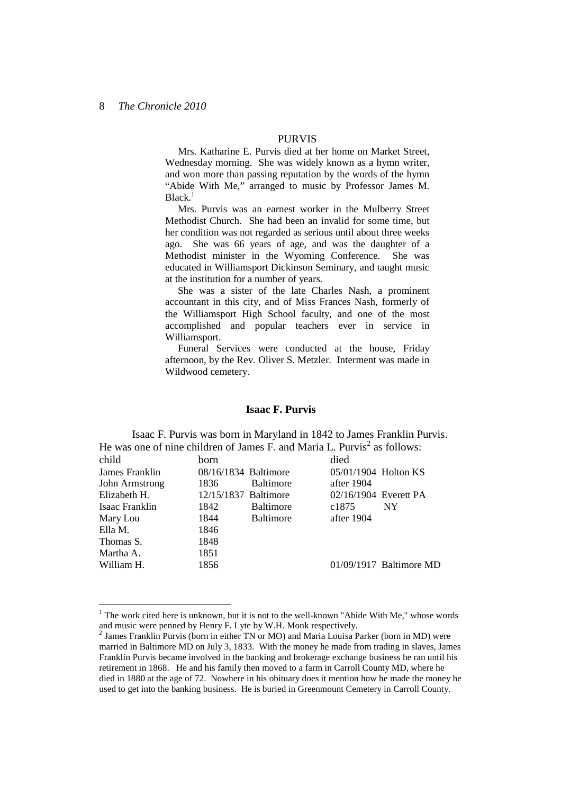# PURVIS

 Mrs. Katharine E. Purvis died at her home on Market Street, Wednesday morning. She was widely known as a hymn writer, and won more than passing reputation by the words of the hymn "Abide With Me," arranged to music by Professor James M. Black.<sup>1</sup>

 Mrs. Purvis was an earnest worker in the Mulberry Street Methodist Church. She had been an invalid for some time, but her condition was not regarded as serious until about three weeks ago. She was 66 years of age, and was the daughter of a Methodist minister in the Wyoming Conference. She was educated in Williamsport Dickinson Seminary, and taught music at the institution for a number of years.

 She was a sister of the late Charles Nash, a prominent accountant in this city, and of Miss Frances Nash, formerly of the Williamsport High School faculty, and one of the most accomplished and popular teachers ever in service in Williamsport.

 Funeral Services were conducted at the house, Friday afternoon, by the Rev. Oliver S. Metzler. Interment was made in Wildwood cemetery.

# **Isaac F. Purvis**

 Isaac F. Purvis was born in Maryland in 1842 to James Franklin Purvis. He was one of nine children of James F. and Maria L. Purvis<sup>2</sup> as follows:

| child          | born                 |                  | died                  |                           |
|----------------|----------------------|------------------|-----------------------|---------------------------|
| James Franklin | 08/16/1834 Baltimore |                  | 05/01/1904 Holton KS  |                           |
| John Armstrong | 1836                 | <b>Baltimore</b> | after 1904            |                           |
| Elizabeth H.   | 12/15/1837 Baltimore |                  | 02/16/1904 Everett PA |                           |
| Isaac Franklin | 1842                 | <b>Baltimore</b> | c1875                 | NY.                       |
| Mary Lou       | 1844                 | <b>Baltimore</b> | after 1904            |                           |
| Ella M.        | 1846                 |                  |                       |                           |
| Thomas S.      | 1848                 |                  |                       |                           |
| Martha A.      | 1851                 |                  |                       |                           |
| William H.     | 1856                 |                  |                       | $01/09/1917$ Baltimore MD |
|                |                      |                  |                       |                           |

 $1$  The work cited here is unknown, but it is not to the well-known "Abide With Me," whose words and music were penned by Henry F. Lyte by W.H. Monk respectively.

<sup>&</sup>lt;sup>2</sup> James Franklin Purvis (born in either TN or MO) and Maria Louisa Parker (born in MD) were married in Baltimore MD on July 3, 1833. With the money he made from trading in slaves, James Franklin Purvis became involved in the banking and brokerage exchange business he ran until his retirement in 1868. He and his family then moved to a farm in Carroll County MD, where he died in 1880 at the age of 72. Nowhere in his obituary does it mention how he made the money he used to get into the banking business. He is buried in Greenmount Cemetery in Carroll County.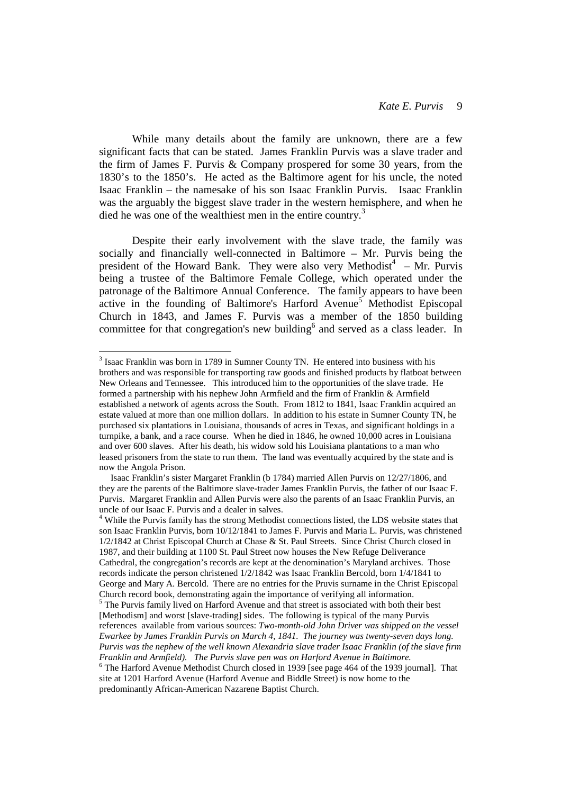While many details about the family are unknown, there are a few significant facts that can be stated. James Franklin Purvis was a slave trader and the firm of James F. Purvis & Company prospered for some 30 years, from the 1830's to the 1850's. He acted as the Baltimore agent for his uncle, the noted Isaac Franklin – the namesake of his son Isaac Franklin Purvis. Isaac Franklin was the arguably the biggest slave trader in the western hemisphere, and when he died he was one of the wealthiest men in the entire country.<sup>3</sup>

 Despite their early involvement with the slave trade, the family was socially and financially well-connected in Baltimore – Mr. Purvis being the president of the Howard Bank. They were also very Methodist<sup>4</sup> - Mr. Purvis being a trustee of the Baltimore Female College, which operated under the patronage of the Baltimore Annual Conference. The family appears to have been active in the founding of Baltimore's Harford Avenue<sup>5</sup> Methodist Episcopal Church in 1843, and James F. Purvis was a member of the 1850 building committee for that congregation's new building<sup>6</sup> and served as a class leader. In

 $\overline{a}$ 

 $3$  Isaac Franklin was born in 1789 in Sumner County TN. He entered into business with his brothers and was responsible for transporting raw goods and finished products by flatboat between New Orleans and Tennessee. This introduced him to the opportunities of the slave trade. He formed a partnership with his nephew John Armfield and the firm of Franklin & Armfield established a network of agents across the South. From 1812 to 1841, Isaac Franklin acquired an estate valued at more than one million dollars. In addition to his estate in Sumner County TN, he purchased six plantations in Louisiana, thousands of acres in Texas, and significant holdings in a turnpike, a bank, and a race course. When he died in 1846, he owned 10,000 acres in Louisiana and over 600 slaves. After his death, his widow sold his Louisiana plantations to a man who leased prisoners from the state to run them. The land was eventually acquired by the state and is now the Angola Prison.

Isaac Franklin's sister Margaret Franklin (b 1784) married Allen Purvis on 12/27/1806, and they are the parents of the Baltimore slave-trader James Franklin Purvis, the father of our Isaac F. Purvis. Margaret Franklin and Allen Purvis were also the parents of an Isaac Franklin Purvis, an uncle of our Isaac F. Purvis and a dealer in salves.

<sup>&</sup>lt;sup>4</sup> While the Purvis family has the strong Methodist connections listed, the LDS website states that son Isaac Franklin Purvis, born 10/12/1841 to James F. Purvis and Maria L. Purvis, was christened 1/2/1842 at Christ Episcopal Church at Chase & St. Paul Streets. Since Christ Church closed in 1987, and their building at 1100 St. Paul Street now houses the New Refuge Deliverance Cathedral, the congregation's records are kept at the denomination's Maryland archives. Those records indicate the person christened 1/2/1842 was Isaac Franklin Bercold, born 1/4/1841 to George and Mary A. Bercold. There are no entries for the Pruvis surname in the Christ Episcopal Church record book, demonstrating again the importance of verifying all information. <sup>5</sup> The Purvis family lived on Harford Avenue and that street is associated with both their best [Methodism] and worst [slave-trading] sides. The following is typical of the many Purvis

references available from various sources: *Two-month-old John Driver was shipped on the vessel Ewarkee by James Franklin Purvis on March 4, 1841. The journey was twenty-seven days long. Purvis was the nephew of the well known Alexandria slave trader Isaac Franklin (of the slave firm Franklin and Armfield). The Purvis slave pen was on Harford Avenue in Baltimore.*

<sup>&</sup>lt;sup>6</sup> The Harford Avenue Methodist Church closed in 1939 [see page 464 of the 1939 journal]. That site at 1201 Harford Avenue (Harford Avenue and Biddle Street) is now home to the predominantly African-American Nazarene Baptist Church.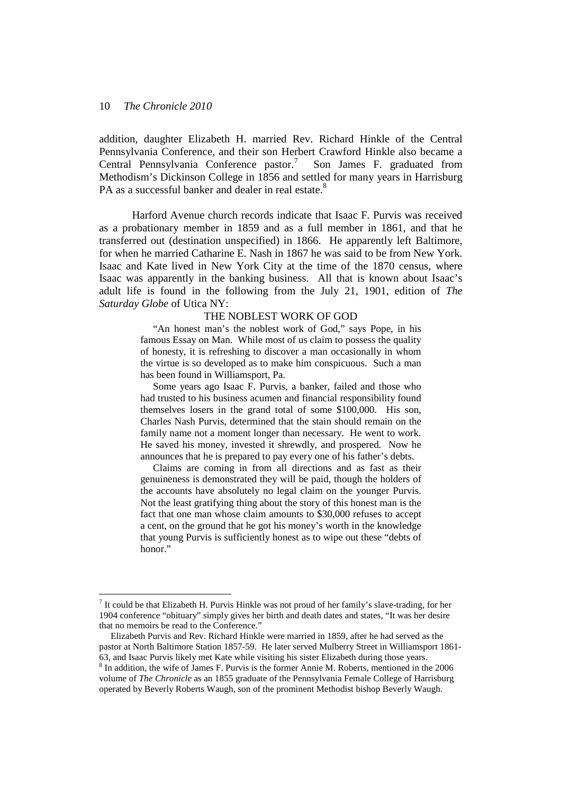$\overline{a}$ 

addition, daughter Elizabeth H. married Rev. Richard Hinkle of the Central Pennsylvania Conference, and their son Herbert Crawford Hinkle also became a Central Pennsylvania Conference pastor.<sup>7</sup> Son James F. graduated from Methodism's Dickinson College in 1856 and settled for many years in Harrisburg PA as a successful banker and dealer in real estate.<sup>8</sup>

 Harford Avenue church records indicate that Isaac F. Purvis was received as a probationary member in 1859 and as a full member in 1861, and that he transferred out (destination unspecified) in 1866. He apparently left Baltimore, for when he married Catharine E. Nash in 1867 he was said to be from New York. Isaac and Kate lived in New York City at the time of the 1870 census, where Isaac was apparently in the banking business. All that is known about Isaac's adult life is found in the following from the July 21, 1901, edition of *The Saturday Globe* of Utica NY:

#### THE NOBLEST WORK OF GOD

 "An honest man's the noblest work of God," says Pope, in his famous Essay on Man. While most of us claim to possess the quality of honesty, it is refreshing to discover a man occasionally in whom the virtue is so developed as to make him conspicuous. Such a man has been found in Williamsport, Pa.

 Some years ago Isaac F. Purvis, a banker, failed and those who had trusted to his business acumen and financial responsibility found themselves losers in the grand total of some \$100,000. His son, Charles Nash Purvis, determined that the stain should remain on the family name not a moment longer than necessary. He went to work. He saved his money, invested it shrewdly, and prospered. Now he announces that he is prepared to pay every one of his father's debts.

 Claims are coming in from all directions and as fast as their genuineness is demonstrated they will be paid, though the holders of the accounts have absolutely no legal claim on the younger Purvis. Not the least gratifying thing about the story of this honest man is the fact that one man whose claim amounts to \$30,000 refuses to accept a cent, on the ground that he got his money's worth in the knowledge that young Purvis is sufficiently honest as to wipe out these "debts of honor."

 $<sup>7</sup>$  It could be that Elizabeth H. Purvis Hinkle was not proud of her family's slave-trading, for her</sup> 1904 conference "obituary" simply gives her birth and death dates and states, "It was her desire that no memoirs be read to the Conference."

Elizabeth Purvis and Rev. Richard Hinkle were married in 1859, after he had served as the pastor at North Baltimore Station 1857-59. He later served Mulberry Street in Williamsport 1861- 63, and Isaac Purvis likely met Kate while visiting his sister Elizabeth during those years.

<sup>&</sup>lt;sup>8</sup> In addition, the wife of James F. Purvis is the former Annie M. Roberts, mentioned in the 2006 volume of *The Chronicle* as an 1855 graduate of the Pennsylvania Female College of Harrisburg operated by Beverly Roberts Waugh, son of the prominent Methodist bishop Beverly Waugh.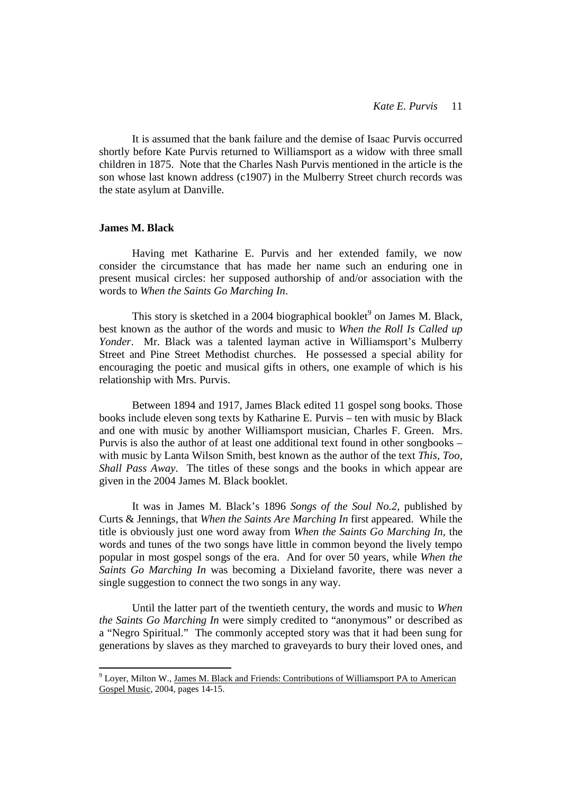It is assumed that the bank failure and the demise of Isaac Purvis occurred shortly before Kate Purvis returned to Williamsport as a widow with three small children in 1875. Note that the Charles Nash Purvis mentioned in the article is the son whose last known address (c1907) in the Mulberry Street church records was the state asylum at Danville.

# **James M. Black**

 $\overline{a}$ 

 Having met Katharine E. Purvis and her extended family, we now consider the circumstance that has made her name such an enduring one in present musical circles: her supposed authorship of and/or association with the words to *When the Saints Go Marching In*.

This story is sketched in a 2004 biographical booklet<sup>9</sup> on James M. Black, best known as the author of the words and music to *When the Roll Is Called up Yonder*. Mr. Black was a talented layman active in Williamsport's Mulberry Street and Pine Street Methodist churches. He possessed a special ability for encouraging the poetic and musical gifts in others, one example of which is his relationship with Mrs. Purvis.

 Between 1894 and 1917, James Black edited 11 gospel song books. Those books include eleven song texts by Katharine E. Purvis – ten with music by Black and one with music by another Williamsport musician, Charles F. Green. Mrs. Purvis is also the author of at least one additional text found in other songbooks – with music by Lanta Wilson Smith, best known as the author of the text *This, Too, Shall Pass Away*. The titles of these songs and the books in which appear are given in the 2004 James M. Black booklet.

 It was in James M. Black's 1896 *Songs of the Soul No.2*, published by Curts & Jennings, that *When the Saints Are Marching In* first appeared. While the title is obviously just one word away from *When the Saints Go Marching In*, the words and tunes of the two songs have little in common beyond the lively tempo popular in most gospel songs of the era. And for over 50 years, while *When the Saints Go Marching In* was becoming a Dixieland favorite, there was never a single suggestion to connect the two songs in any way.

 Until the latter part of the twentieth century, the words and music to *When the Saints Go Marching In* were simply credited to "anonymous" or described as a "Negro Spiritual." The commonly accepted story was that it had been sung for generations by slaves as they marched to graveyards to bury their loved ones, and

<sup>&</sup>lt;sup>9</sup> Loyer, Milton W., James M. Black and Friends: Contributions of Williamsport PA to American Gospel Music, 2004, pages 14-15.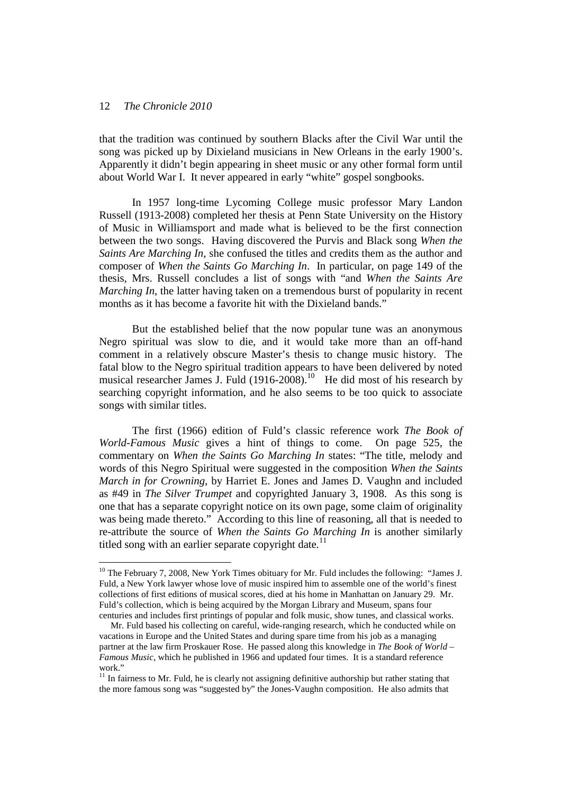$\overline{a}$ 

that the tradition was continued by southern Blacks after the Civil War until the song was picked up by Dixieland musicians in New Orleans in the early 1900's. Apparently it didn't begin appearing in sheet music or any other formal form until about World War I. It never appeared in early "white" gospel songbooks.

 In 1957 long-time Lycoming College music professor Mary Landon Russell (1913-2008) completed her thesis at Penn State University on the History of Music in Williamsport and made what is believed to be the first connection between the two songs. Having discovered the Purvis and Black song *When the Saints Are Marching In*, she confused the titles and credits them as the author and composer of *When the Saints Go Marching In*. In particular, on page 149 of the thesis, Mrs. Russell concludes a list of songs with "and *When the Saints Are Marching In*, the latter having taken on a tremendous burst of popularity in recent months as it has become a favorite hit with the Dixieland bands."

 But the established belief that the now popular tune was an anonymous Negro spiritual was slow to die, and it would take more than an off-hand comment in a relatively obscure Master's thesis to change music history. The fatal blow to the Negro spiritual tradition appears to have been delivered by noted musical researcher James J. Fuld (1916-2008).<sup>10</sup> He did most of his research by searching copyright information, and he also seems to be too quick to associate songs with similar titles.

 The first (1966) edition of Fuld's classic reference work *The Book of World-Famous Music* gives a hint of things to come. On page 525, the commentary on *When the Saints Go Marching In* states: "The title, melody and words of this Negro Spiritual were suggested in the composition *When the Saints March in for Crowning*, by Harriet E. Jones and James D. Vaughn and included as #49 in *The Silver Trumpet* and copyrighted January 3, 1908. As this song is one that has a separate copyright notice on its own page, some claim of originality was being made thereto." According to this line of reasoning, all that is needed to re-attribute the source of *When the Saints Go Marching In* is another similarly titled song with an earlier separate copyright date.<sup>11</sup>

 $10$  The February 7, 2008, New York Times obituary for Mr. Fuld includes the following: "James J. Fuld, a New York lawyer whose love of music inspired him to assemble one of the world's finest collections of first editions of musical scores, died at his home in Manhattan on January 29. Mr. Fuld's collection, which is being acquired by the Morgan Library and Museum, spans four centuries and includes first printings of popular and folk music, show tunes, and classical works.

Mr. Fuld based his collecting on careful, wide-ranging research, which he conducted while on vacations in Europe and the United States and during spare time from his job as a managing partner at the law firm Proskauer Rose. He passed along this knowledge in *The Book of World – Famous Music*, which he published in 1966 and updated four times. It is a standard reference work"

 $11$  In fairness to Mr. Fuld, he is clearly not assigning definitive authorship but rather stating that the more famous song was "suggested by" the Jones-Vaughn composition. He also admits that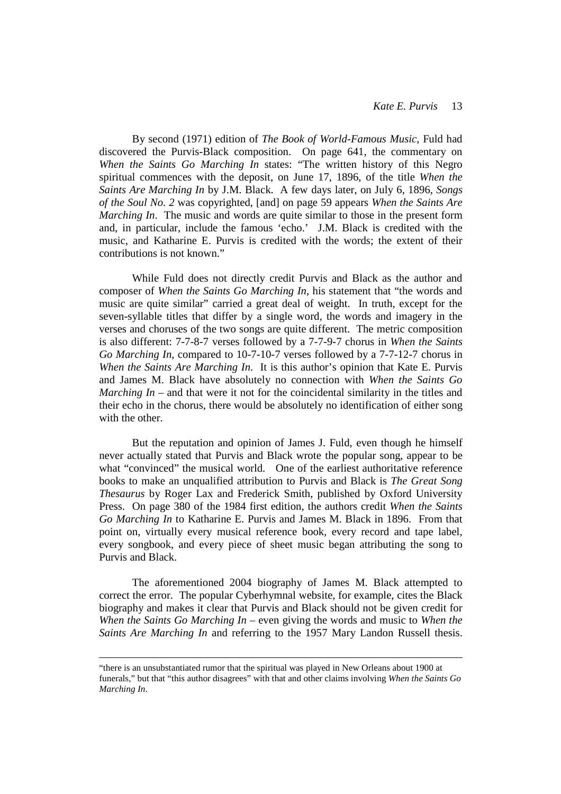By second (1971) edition of *The Book of World-Famous Music*, Fuld had discovered the Purvis-Black composition. On page 641, the commentary on *When the Saints Go Marching In* states: "The written history of this Negro spiritual commences with the deposit, on June 17, 1896, of the title *When the Saints Are Marching In* by J.M. Black. A few days later, on July 6, 1896, *Songs of the Soul No. 2* was copyrighted, [and] on page 59 appears *When the Saints Are Marching In*. The music and words are quite similar to those in the present form and, in particular, include the famous 'echo.' J.M. Black is credited with the music, and Katharine E. Purvis is credited with the words; the extent of their contributions is not known."

 While Fuld does not directly credit Purvis and Black as the author and composer of *When the Saints Go Marching In*, his statement that "the words and music are quite similar" carried a great deal of weight. In truth, except for the seven-syllable titles that differ by a single word, the words and imagery in the verses and choruses of the two songs are quite different. The metric composition is also different: 7-7-8-7 verses followed by a 7-7-9-7 chorus in *When the Saints Go Marching In*, compared to 10-7-10-7 verses followed by a 7-7-12-7 chorus in *When the Saints Are Marching In*. It is this author's opinion that Kate E. Purvis and James M. Black have absolutely no connection with *When the Saints Go Marching In* – and that were it not for the coincidental similarity in the titles and their echo in the chorus, there would be absolutely no identification of either song with the other.

 But the reputation and opinion of James J. Fuld, even though he himself never actually stated that Purvis and Black wrote the popular song, appear to be what "convinced" the musical world. One of the earliest authoritative reference books to make an unqualified attribution to Purvis and Black is *The Great Song Thesaurus* by Roger Lax and Frederick Smith, published by Oxford University Press. On page 380 of the 1984 first edition, the authors credit *When the Saints Go Marching In* to Katharine E. Purvis and James M. Black in 1896. From that point on, virtually every musical reference book, every record and tape label, every songbook, and every piece of sheet music began attributing the song to Purvis and Black.

 The aforementioned 2004 biography of James M. Black attempted to correct the error. The popular Cyberhymnal website, for example, cites the Black biography and makes it clear that Purvis and Black should not be given credit for *When the Saints Go Marching In* – even giving the words and music to *When the Saints Are Marching In* and referring to the 1957 Mary Landon Russell thesis.

 $\overline{a}$ 

<sup>&</sup>quot;there is an unsubstantiated rumor that the spiritual was played in New Orleans about 1900 at funerals," but that "this author disagrees" with that and other claims involving *When the Saints Go Marching In*.